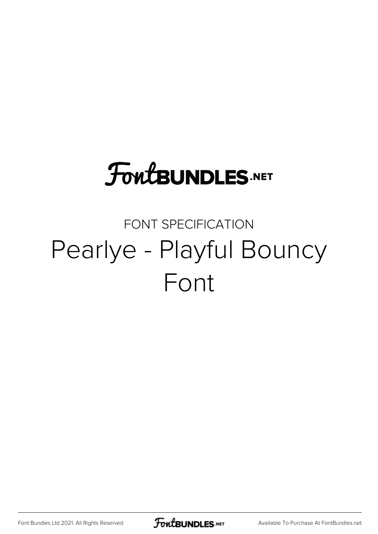# **FoutBUNDLES.NET**

## FONT SPECIFICATION Pearlye - Playful Bouncy Font

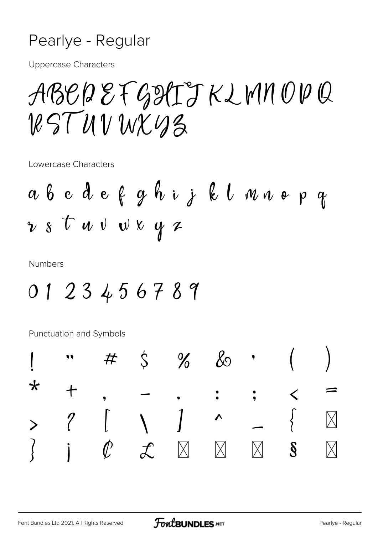#### Pearlye - Regular

**Uppercase Characters** 

ABCDEFGITTKLMNOPQ  $RSTUVWXYS$ 

Lowercase Characters

**Numbers** 

0123456789

Punctuation and Symbols

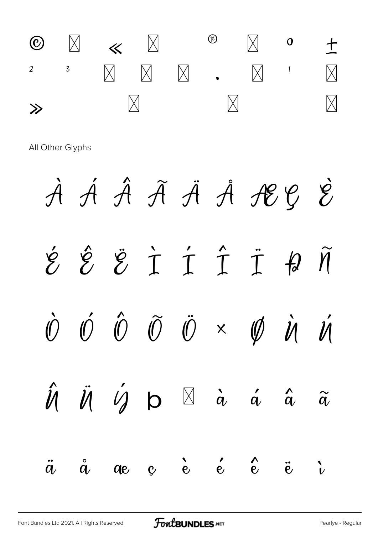

All Other Glyphs

À Á Â Ã Ä Å Å ÆÇ È  $\hat{z}$   $\hat{z}$   $\hat{z}$   $\hat{1}$   $\hat{1}$   $\hat{1}$   $\hat{4}$   $\hat{\eta}$  $\hat{\mathcal{O}}$   $\hat{\mathcal{O}}$  $\tilde{0}$   $\ddot{0}$   $\times$   $\phi$  $\hat{O}$  $\dot{\mathscr{U}}$  $\dot{\mathcal{U}}$  $\hat{\mathcal{U}}$  $\ddot{\mathcal{U}}$   $\ddot{\mathcal{U}}$  b  $\beta$  à á â  $\widetilde{a}$  $e$   $\begin{matrix} 1 & 1 \\ 1 & 1 \end{matrix}$  $\overset{\circ}{\alpha}$  $\boldsymbol{\hat{e}}$  $\ddot{a}$  $\ddot{e}$  $\ddot{v}$  $q_{e}$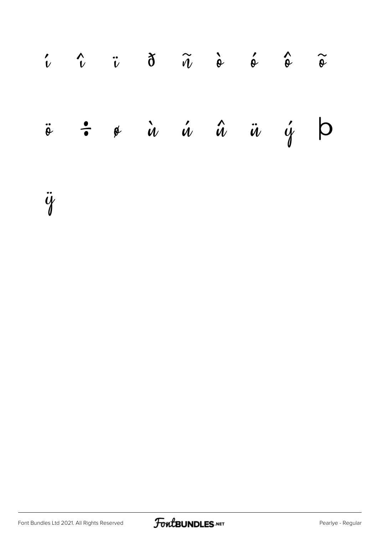| $\begin{array}{ccccc}\n\cdot & \hat{\cdot} & \hat{\cdot} & \hat{\cdot} & \hat{\sigma} & \hat{\omega} & \hat{\omega} & \hat{\omega} & \hat{\omega} & \hat{\omega} \\ \end{array}$ |  |  |  |  |
|----------------------------------------------------------------------------------------------------------------------------------------------------------------------------------|--|--|--|--|
| $\ddot{\circ}$ $\dot{\bullet}$ $\dot{\bullet}$ $\dot{u}$ $\dot{u}$ $\dot{u}$ $\ddot{u}$ $\dot{y}$ $\dot{\phi}$                                                                   |  |  |  |  |

ÿ

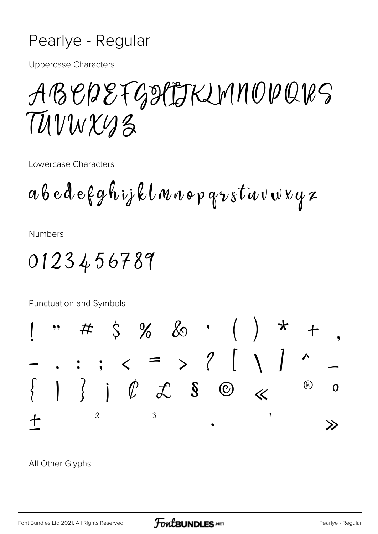#### Pearlye - Regular

**Uppercase Characters** 

## ABEREFGITTKIMMODQRS TUVWXUZ

Lowercase Characters

ab cd efghijklmnopqrstuvwxyz

**Numbers** 

### 0123456789

Punctuation and Symbols



All Other Glyphs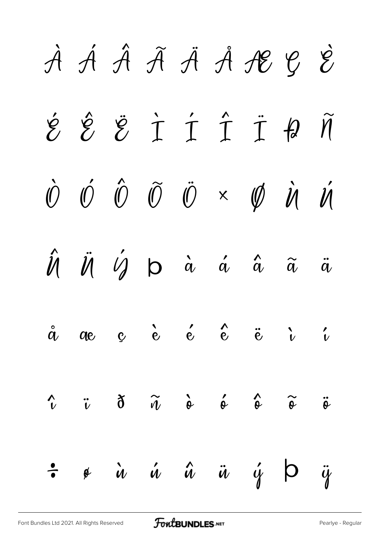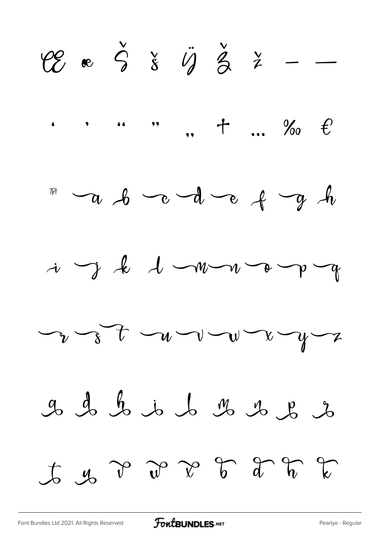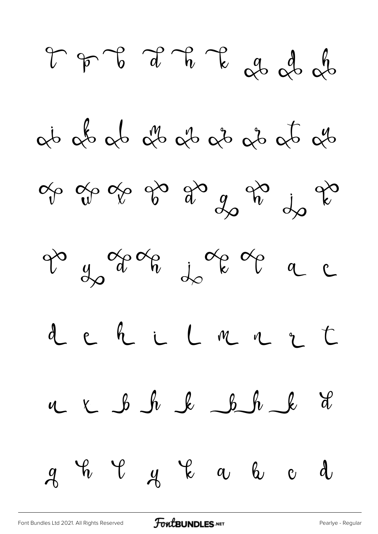